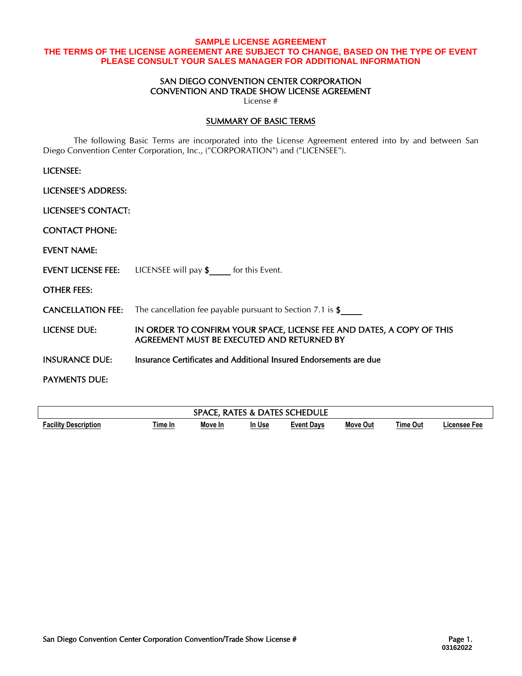## **SAMPLE LICENSE AGREEMENT THE TERMS OF THE LICENSE AGREEMENT ARE SUBJECT TO CHANGE, BASED ON THE TYPE OF EVENT PLEASE CONSULT YOUR SALES MANAGER FOR ADDITIONAL INFORMATION**

### SAN DIEGO CONVENTION CENTER CORPORATION CONVENTION AND TRADE SHOW LICENSE AGREEMENT

License #

### SUMMARY OF BASIC TERMS

The following Basic Terms are incorporated into the License Agreement entered into by and between San Diego Convention Center Corporation, Inc., ("CORPORATION") and ("LICENSEE").

| LICENSEE:                  |                                                                                                                     |
|----------------------------|---------------------------------------------------------------------------------------------------------------------|
| <b>LICENSEE'S ADDRESS:</b> |                                                                                                                     |
| LICENSEE'S CONTACT:        |                                                                                                                     |
| <b>CONTACT PHONE:</b>      |                                                                                                                     |
| EVENT NAME:                |                                                                                                                     |
|                            | <b>EVENT LICENSE FEE:</b> LICENSEE will pay \$_____ for this Event.                                                 |
| <b>OTHER FEES:</b>         |                                                                                                                     |
|                            | <b>CANCELLATION FEE:</b> The cancellation fee payable pursuant to Section 7.1 is $\oint$                            |
| <b>LICENSE DUE:</b>        | IN ORDER TO CONFIRM YOUR SPACE, LICENSE FEE AND DATES, A COPY OF THIS<br>AGREEMENT MUST BE EXECUTED AND RETURNED BY |
| <b>INSURANCE DUE:</b>      | Insurance Certificates and Additional Insured Endorsements are due                                                  |
| <b>PAYMENTS DUE:</b>       |                                                                                                                     |
|                            |                                                                                                                     |

| <b>IEDULE</b><br>----<br><b>RDA.</b><br>$\sim$<br>IFS<br>JА<br>нь<br>N<br>ĸА<br>v.<br>. . |         |         |        |            |                 |                 |              |
|-------------------------------------------------------------------------------------------|---------|---------|--------|------------|-----------------|-----------------|--------------|
| <br><b>Facility Description</b>                                                           | Time In | Move In | In Use | Event Davs | <b>Move Out</b> | <b>Time Out</b> | ∟icensee Fee |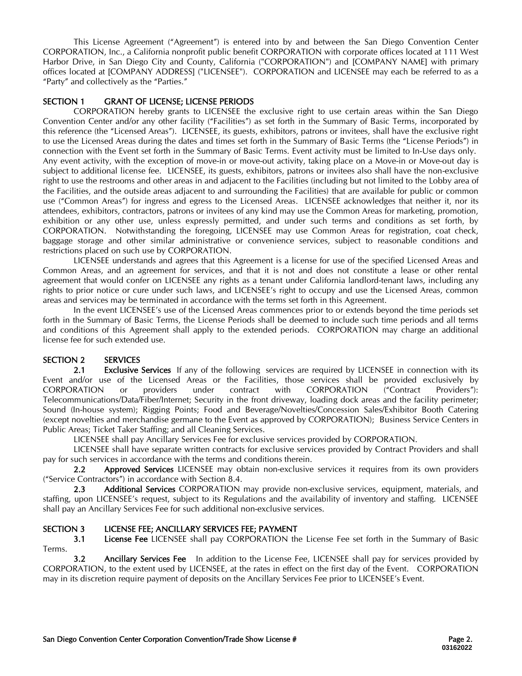This License Agreement ("Agreement") is entered into by and between the San Diego Convention Center CORPORATION, Inc., a California nonprofit public benefit CORPORATION with corporate offices located at 111 West Harbor Drive, in San Diego City and County, California ("CORPORATION") and [COMPANY NAME] with primary offices located at [COMPANY ADDRESS] ("LICENSEE"). CORPORATION and LICENSEE may each be referred to as a "Party" and collectively as the "Parties."

# SECTION 1 GRANT OF LICENSE; LICENSE PERIODS

CORPORATION hereby grants to LICENSEE the exclusive right to use certain areas within the San Diego Convention Center and/or any other facility ("Facilities") as set forth in the Summary of Basic Terms, incorporated by this reference (the "Licensed Areas"). LICENSEE, its guests, exhibitors, patrons or invitees, shall have the exclusive right to use the Licensed Areas during the dates and times set forth in the Summary of Basic Terms (the "License Periods") in connection with the Event set forth in the Summary of Basic Terms. Event activity must be limited to In-Use days only. Any event activity, with the exception of move-in or move-out activity, taking place on a Move-in or Move-out day is subject to additional license fee. LICENSEE, its guests, exhibitors, patrons or invitees also shall have the non-exclusive right to use the restrooms and other areas in and adjacent to the Facilities (including but not limited to the Lobby area of the Facilities, and the outside areas adjacent to and surrounding the Facilities) that are available for public or common use ("Common Areas") for ingress and egress to the Licensed Areas. LICENSEE acknowledges that neither it, nor its attendees, exhibitors, contractors, patrons or invitees of any kind may use the Common Areas for marketing, promotion, exhibition or any other use, unless expressly permitted, and under such terms and conditions as set forth, by CORPORATION. Notwithstanding the foregoing, LICENSEE may use Common Areas for registration, coat check, baggage storage and other similar administrative or convenience services, subject to reasonable conditions and restrictions placed on such use by CORPORATION.

LICENSEE understands and agrees that this Agreement is a license for use of the specified Licensed Areas and Common Areas, and an agreement for services, and that it is not and does not constitute a lease or other rental agreement that would confer on LICENSEE any rights as a tenant under California landlord-tenant laws, including any rights to prior notice or cure under such laws, and LICENSEE's right to occupy and use the Licensed Areas, common areas and services may be terminated in accordance with the terms set forth in this Agreement.

In the event LICENSEE's use of the Licensed Areas commences prior to or extends beyond the time periods set forth in the Summary of Basic Terms, the License Periods shall be deemed to include such time periods and all terms and conditions of this Agreement shall apply to the extended periods. CORPORATION may charge an additional license fee for such extended use.

# SECTION 2 SERVICES

2.1 Exclusive Services If any of the following services are required by LICENSEE in connection with its Event and/or use of the Licensed Areas or the Facilities, those services shall be provided exclusively by CORPORATION or providers under contract with CORPORATION ("Contract Providers"): Telecommunications/Data/Fiber/Internet; Security in the front driveway, loading dock areas and the facility perimeter; Sound (In-house system); Rigging Points; Food and Beverage/Novelties/Concession Sales/Exhibitor Booth Catering (except novelties and merchandise germane to the Event as approved by CORPORATION); Business Service Centers in Public Areas; Ticket Taker Staffing; and all Cleaning Services.

LICENSEE shall pay Ancillary Services Fee for exclusive services provided by CORPORATION.

LICENSEE shall have separate written contracts for exclusive services provided by Contract Providers and shall pay for such services in accordance with the terms and conditions therein.

2.2 Approved Services LICENSEE may obtain non-exclusive services it requires from its own providers ("Service Contractors") in accordance with Section 8.4.

2.3 Additional Services CORPORATION may provide non-exclusive services, equipment, materials, and staffing, upon LICENSEE's request, subject to its Regulations and the availability of inventory and staffing. LICENSEE shall pay an Ancillary Services Fee for such additional non-exclusive services.

## SECTION 3 LICENSE FEE; ANCILLARY SERVICES FEE; PAYMENT

**3.1** License Fee LICENSEE shall pay CORPORATION the License Fee set forth in the Summary of Basic Terms.

3.2 Ancillary Services Fee In addition to the License Fee, LICENSEE shall pay for services provided by CORPORATION, to the extent used by LICENSEE, at the rates in effect on the first day of the Event. CORPORATION may in its discretion require payment of deposits on the Ancillary Services Fee prior to LICENSEE's Event.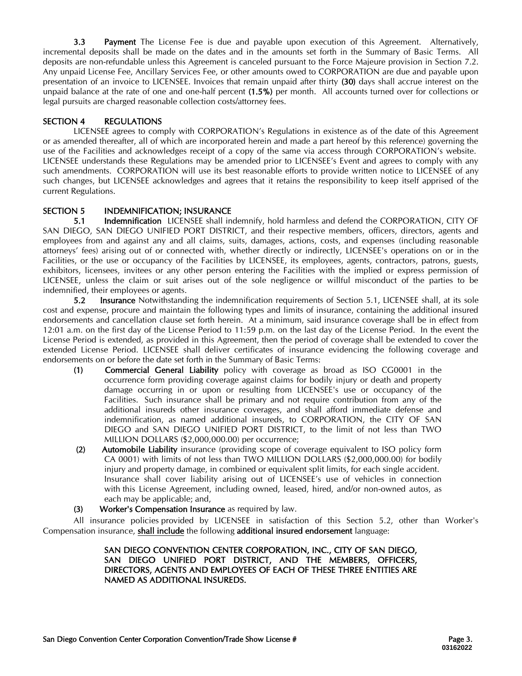3.3 Payment The License Fee is due and payable upon execution of this Agreement. Alternatively, incremental deposits shall be made on the dates and in the amounts set forth in the Summary of Basic Terms. All deposits are non-refundable unless this Agreement is canceled pursuant to the Force Majeure provision in Section 7.2. Any unpaid License Fee, Ancillary Services Fee, or other amounts owed to CORPORATION are due and payable upon presentation of an invoice to LICENSEE. Invoices that remain unpaid after thirty (30) days shall accrue interest on the unpaid balance at the rate of one and one-half percent (1.5%) per month. All accounts turned over for collections or legal pursuits are charged reasonable collection costs/attorney fees.

# SECTION 4 REGULATIONS

LICENSEE agrees to comply with CORPORATION's Regulations in existence as of the date of this Agreement or as amended thereafter, all of which are incorporated herein and made a part hereof by this reference) governing the use of the Facilities and acknowledges receipt of a copy of the same via access through CORPORATION's website. LICENSEE understands these Regulations may be amended prior to LICENSEE's Event and agrees to comply with any such amendments. CORPORATION will use its best reasonable efforts to provide written notice to LICENSEE of any such changes, but LICENSEE acknowledges and agrees that it retains the responsibility to keep itself apprised of the current Regulations.

# SECTION 5 INDEMNIFICATION; INSURANCE

5.1 Indemnification LICENSEE shall indemnify, hold harmless and defend the CORPORATION, CITY OF SAN DIEGO, SAN DIEGO UNIFIED PORT DISTRICT, and their respective members, officers, directors, agents and employees from and against any and all claims, suits, damages, actions, costs, and expenses (including reasonable attorneys' fees) arising out of or connected with, whether directly or indirectly, LICENSEE's operations on or in the Facilities, or the use or occupancy of the Facilities by LICENSEE, its employees, agents, contractors, patrons, guests, exhibitors, licensees, invitees or any other person entering the Facilities with the implied or express permission of LICENSEE, unless the claim or suit arises out of the sole negligence or willful misconduct of the parties to be indemnified, their employees or agents.

5.2 Insurance Notwithstanding the indemnification requirements of Section 5.1, LICENSEE shall, at its sole cost and expense, procure and maintain the following types and limits of insurance, containing the additional insured endorsements and cancellation clause set forth herein. At a minimum, said insurance coverage shall be in effect from 12:01 a.m. on the first day of the License Period to 11:59 p.m. on the last day of the License Period. In the event the License Period is extended, as provided in this Agreement, then the period of coverage shall be extended to cover the extended License Period. LICENSEE shall deliver certificates of insurance evidencing the following coverage and endorsements on or before the date set forth in the Summary of Basic Terms:

- (1) Commercial General Liability policy with coverage as broad as ISO CG0001 in the occurrence form providing coverage against claims for bodily injury or death and property damage occurring in or upon or resulting from LICENSEE's use or occupancy of the Facilities. Such insurance shall be primary and not require contribution from any of the additional insureds other insurance coverages, and shall afford immediate defense and indemnification, as named additional insureds, to CORPORATION, the CITY OF SAN DIEGO and SAN DIEGO UNIFIED PORT DISTRICT, to the limit of not less than TWO MILLION DOLLARS (\$2,000,000.00) per occurrence;
- (2) Automobile Liability insurance (providing scope of coverage equivalent to ISO policy form CA 0001) with limits of not less than TWO MILLION DOLLARS (\$2,000,000.00) for bodily injury and property damage, in combined or equivalent split limits, for each single accident. Insurance shall cover liability arising out of LICENSEE's use of vehicles in connection with this License Agreement, including owned, leased, hired, and/or non-owned autos, as each may be applicable; and,
- (3) Worker's Compensation Insurance as required by law.

All insurance policies provided by LICENSEE in satisfaction of this Section 5.2, other than Worker's Compensation insurance, shall include the following additional insured endorsement language:

#### SAN DIEGO CONVENTION CENTER CORPORATION, INC., CITY OF SAN DIEGO, SAN DIEGO UNIFIED PORT DISTRICT, AND THE MEMBERS, OFFICERS, DIRECTORS, AGENTS AND EMPLOYEES OF EACH OF THESE THREE ENTITIES ARE NAMED AS ADDITIONAL INSUREDS.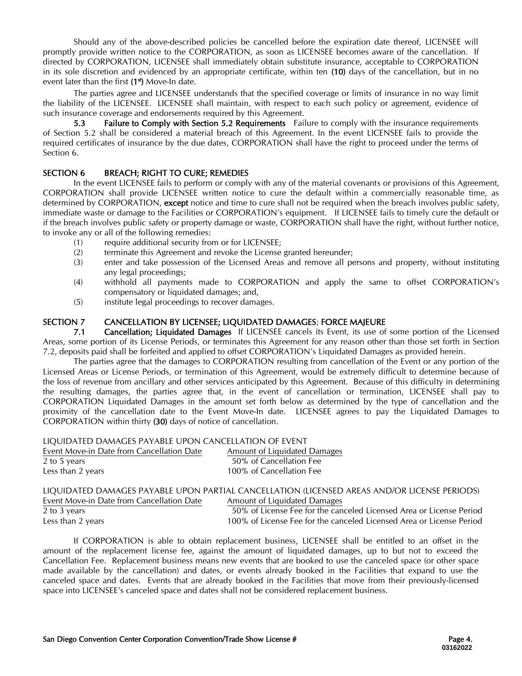Should any of the above-described policies be cancelled before the expiration date thereof, LICENSEE will promptly provide written notice to the CORPORATION, as soon as LICENSEE becomes aware of the cancellation. If directed by CORPORATION, LICENSEE shall immediately obtain substitute insurance, acceptable to CORPORATION in its sole discretion and evidenced by an appropriate certificate, within ten (10) days of the cancellation, but in no event later than the first (1<sup>st</sup>) Move-In date.

The parties agree and LICENSEE understands that the specified coverage or limits of insurance in no way limit the liability of the LICENSEE. LICENSEE shall maintain, with respect to each such policy or agreement, evidence of such insurance coverage and endorsements required by this Agreement.

5.3 Failure to Comply with Section 5.2 Requirements Failure to comply with the insurance requirements of Section 5.2 shall be considered a material breach of this Agreement. In the event LICENSEE fails to provide the required certificates of insurance by the due dates, CORPORATION shall have the right to proceed under the terms of Section 6.

## SECTION 6 BREACH; RIGHT TO CURE; REMEDIES

In the event LICENSEE fails to perform or comply with any of the material covenants or provisions of this Agreement, CORPORATION shall provide LICENSEE written notice to cure the default within a commercially reasonable time, as determined by CORPORATION, except notice and time to cure shall not be required when the breach involves public safety. immediate waste or damage to the Facilities or CORPORATION's equipment. If LICENSEE fails to timely cure the default or if the breach involves public safety or property damage or waste, CORPORATION shall have the right, without further notice, to invoke any or all of the following remedies:

- (1) require additional security from or for LICENSEE;
- (2) terminate this Agreement and revoke the License granted hereunder;
- (3) enter and take possession of the Licensed Areas and remove all persons and property, without instituting any legal proceedings;
- (4) withhold all payments made to CORPORATION and apply the same to offset CORPORATION's compensatory or liquidated damages; and,
- (5) institute legal proceedings to recover damages.

## SECTION 7 CANCELLATION BY LICENSEE; LIQUIDATED DAMAGES; FORCE MAJEURE

7.1 Cancellation; Liquidated Damages If LICENSEE cancels its Event, its use of some portion of the Licensed Areas, some portion of its License Periods, or terminates this Agreement for any reason other than those set forth in Section 7.2, deposits paid shall be forfeited and applied to offset CORPORATION's Liquidated Damages as provided herein.

The parties agree that the damages to CORPORATION resulting from cancellation of the Event or any portion of the Licensed Areas or License Periods, or termination of this Agreement, would be extremely difficult to determine because of the loss of revenue from ancillary and other services anticipated by this Agreement. Because of this difficulty in determining the resulting damages, the parties agree that, in the event of cancellation or termination, LICENSEE shall pay to CORPORATION Liquidated Damages in the amount set forth below as determined by the type of cancellation and the proximity of the cancellation date to the Event Move-In date. LICENSEE agrees to pay the Liquidated Damages to CORPORATION within thirty (30) days of notice of cancellation.

| LIQUIDATED DAMAGES PAYABLE UPON CANCELLATION OF EVENT |                                                                         |
|-------------------------------------------------------|-------------------------------------------------------------------------|
| Event Move-in Date from Cancellation Date             | Amount of Liquidated Damages                                            |
| 2 to 5 years                                          | 50% of Cancellation Fee                                                 |
| Less than 2 years                                     | 100% of Cancellation Fee                                                |
|                                                       |                                                                         |
|                                                       | LIQUIDATED DAMAGES PAYABLE UPON PARTIAL CANCELLATION (LICENSED AREAS AN |

|                                           | LIQUIDATED DAMAGES PAYABLE UPON PARTIAL CANCELLATION (LICENSED AREAS AND/OR LICENSE PERIODS) |
|-------------------------------------------|----------------------------------------------------------------------------------------------|
| Event Move-in Date from Cancellation Date | Amount of Liquidated Damages                                                                 |
| 2 to 3 years                              | 50% of License Fee for the canceled Licensed Area or License Period                          |
| Less than 2 years                         | 100% of License Fee for the canceled Licensed Area or License Period                         |

If CORPORATION is able to obtain replacement business, LICENSEE shall be entitled to an offset in the amount of the replacement license fee, against the amount of liquidated damages, up to but not to exceed the Cancellation Fee. Replacement business means new events that are booked to use the canceled space (or other space made available by the cancellation) and dates, or events already booked in the Facilities that expand to use the canceled space and dates. Events that are already booked in the Facilities that move from their previously-licensed space into LICENSEE's canceled space and dates shall not be considered replacement business.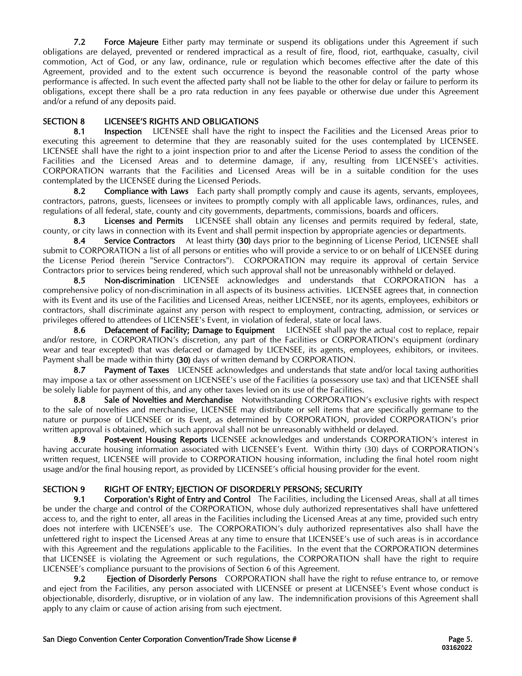7.2 Force Majeure Either party may terminate or suspend its obligations under this Agreement if such obligations are delayed, prevented or rendered impractical as a result of fire, flood, riot, earthquake, casualty, civil commotion, Act of God, or any law, ordinance, rule or regulation which becomes effective after the date of this Agreement, provided and to the extent such occurrence is beyond the reasonable control of the party whose performance is affected. In such event the affected party shall not be liable to the other for delay or failure to perform its obligations, except there shall be a pro rata reduction in any fees payable or otherwise due under this Agreement and/or a refund of any deposits paid.

# SECTION 8 LICENSEE'S RIGHTS AND OBLIGATIONS

8.1 Inspection LICENSEE shall have the right to inspect the Facilities and the Licensed Areas prior to executing this agreement to determine that they are reasonably suited for the uses contemplated by LICENSEE. LICENSEE shall have the right to a joint inspection prior to and after the License Period to assess the condition of the Facilities and the Licensed Areas and to determine damage, if any, resulting from LICENSEE's activities. CORPORATION warrants that the Facilities and Licensed Areas will be in a suitable condition for the uses contemplated by the LICENSEE during the Licensed Periods.

8.2 Compliance with Laws Each party shall promptly comply and cause its agents, servants, employees, contractors, patrons, guests, licensees or invitees to promptly comply with all applicable laws, ordinances, rules, and regulations of all federal, state, county and city governments, departments, commissions, boards and officers.

8.3 Licenses and Permits LICENSEE shall obtain any licenses and permits required by federal, state, county, or city laws in connection with its Event and shall permit inspection by appropriate agencies or departments.

8.4 Service Contractors At least thirty (30) days prior to the beginning of License Period, LICENSEE shall submit to CORPORATION a list of all persons or entities who will provide a service to or on behalf of LICENSEE during the License Period (herein "Service Contractors"). CORPORATION may require its approval of certain Service Contractors prior to services being rendered, which such approval shall not be unreasonably withheld or delayed.

8.5 Non-discrimination LICENSEE acknowledges and understands that CORPORATION has a comprehensive policy of non-discrimination in all aspects of its business activities. LICENSEE agrees that, in connection with its Event and its use of the Facilities and Licensed Areas, neither LICENSEE, nor its agents, employees, exhibitors or contractors, shall discriminate against any person with respect to employment, contracting, admission, or services or privileges offered to attendees of LICENSEE's Event, in violation of federal, state or local laws.

8.6 Defacement of Facility; Damage to Equipment LICENSEE shall pay the actual cost to replace, repair and/or restore, in CORPORATION's discretion, any part of the Facilities or CORPORATION's equipment (ordinary wear and tear excepted) that was defaced or damaged by LICENSEE, its agents, employees, exhibitors, or invitees. Payment shall be made within thirty (30) days of written demand by CORPORATION.

8.7 Payment of Taxes LICENSEE acknowledges and understands that state and/or local taxing authorities may impose a tax or other assessment on LICENSEE's use of the Facilities (a possessory use tax) and that LICENSEE shall be solely liable for payment of this, and any other taxes levied on its use of the Facilities.

8.8 Sale of Novelties and Merchandise Notwithstanding CORPORATION's exclusive rights with respect to the sale of novelties and merchandise, LICENSEE may distribute or sell items that are specifically germane to the nature or purpose of LICENSEE or its Event, as determined by CORPORATION, provided CORPORATION's prior written approval is obtained, which such approval shall not be unreasonably withheld or delayed.

8.9 **Post-event Housing Reports** LICENSEE acknowledges and understands CORPORATION's interest in having accurate housing information associated with LICENSEE's Event. Within thirty (30) days of CORPORATION's written request, LICENSEE will provide to CORPORATION housing information, including the final hotel room night usage and/or the final housing report, as provided by LICENSEE's official housing provider for the event.

## SECTION 9 RIGHT OF ENTRY; EJECTION OF DISORDERLY PERSONS; SECURITY

9.1 Corporation's Right of Entry and Control The Facilities, including the Licensed Areas, shall at all times be under the charge and control of the CORPORATION, whose duly authorized representatives shall have unfettered access to, and the right to enter, all areas in the Facilities including the Licensed Areas at any time, provided such entry does not interfere with LICENSEE's use. The CORPORATION's duly authorized representatives also shall have the unfettered right to inspect the Licensed Areas at any time to ensure that LICENSEE's use of such areas is in accordance with this Agreement and the regulations applicable to the Facilities. In the event that the CORPORATION determines that LICENSEE is violating the Agreement or such regulations, the CORPORATION shall have the right to require LICENSEE's compliance pursuant to the provisions of Section 6 of this Agreement.

9.2 **Eiection of Disorderly Persons** CORPORATION shall have the right to refuse entrance to, or remove and eject from the Facilities, any person associated with LICENSEE or present at LICENSEE's Event whose conduct is objectionable, disorderly, disruptive, or in violation of any law. The indemnification provisions of this Agreement shall apply to any claim or cause of action arising from such ejectment.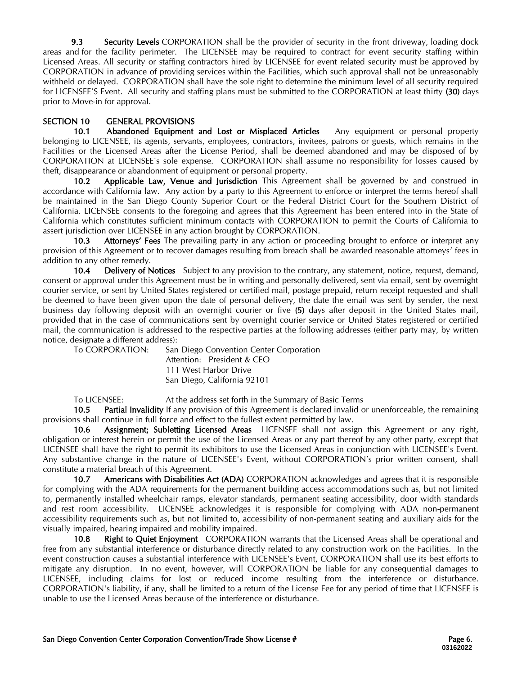9.3 Security Levels CORPORATION shall be the provider of security in the front driveway, loading dock areas and for the facility perimeter. The LICENSEE may be required to contract for event security staffing within Licensed Areas. All security or staffing contractors hired by LICENSEE for event related security must be approved by CORPORATION in advance of providing services within the Facilities, which such approval shall not be unreasonably withheld or delayed. CORPORATION shall have the sole right to determine the minimum level of all security required for LICENSEE'S Event. All security and staffing plans must be submitted to the CORPORATION at least thirty (30) days prior to Move-in for approval.

# SECTION 10 GENERAL PROVISIONS

10.1 Abandoned Equipment and Lost or Misplaced Articles Any equipment or personal property belonging to LICENSEE, its agents, servants, employees, contractors, invitees, patrons or guests, which remains in the Facilities or the Licensed Areas after the License Period, shall be deemed abandoned and may be disposed of by CORPORATION at LICENSEE's sole expense. CORPORATION shall assume no responsibility for losses caused by theft, disappearance or abandonment of equipment or personal property.

10.2 Applicable Law, Venue and Jurisdiction This Agreement shall be governed by and construed in accordance with California law. Any action by a party to this Agreement to enforce or interpret the terms hereof shall be maintained in the San Diego County Superior Court or the Federal District Court for the Southern District of California. LICENSEE consents to the foregoing and agrees that this Agreement has been entered into in the State of California which constitutes sufficient minimum contacts with CORPORATION to permit the Courts of California to assert jurisdiction over LICENSEE in any action brought by CORPORATION.

10.3 Attorneys' Fees The prevailing party in any action or proceeding brought to enforce or interpret any provision of this Agreement or to recover damages resulting from breach shall be awarded reasonable attorneys' fees in addition to any other remedy.

10.4 Delivery of Notices Subject to any provision to the contrary, any statement, notice, request, demand, consent or approval under this Agreement must be in writing and personally delivered, sent via email, sent by overnight courier service, or sent by United States registered or certified mail, postage prepaid, return receipt requested and shall be deemed to have been given upon the date of personal delivery, the date the email was sent by sender, the next business day following deposit with an overnight courier or five (5) days after deposit in the United States mail, provided that in the case of communications sent by overnight courier service or United States registered or certified mail, the communication is addressed to the respective parties at the following addresses (either party may, by written notice, designate a different address):

To CORPORATION: San Diego Convention Center Corporation Attention: President & CEO 111 West Harbor Drive San Diego, California 92101

To LICENSEE: At the address set forth in the Summary of Basic Terms

10.5 Partial Invalidity If any provision of this Agreement is declared invalid or unenforceable, the remaining provisions shall continue in full force and effect to the fullest extent permitted by law.

10.6 Assignment; Subletting Licensed Areas LICENSEE shall not assign this Agreement or any right, obligation or interest herein or permit the use of the Licensed Areas or any part thereof by any other party, except that LICENSEE shall have the right to permit its exhibitors to use the Licensed Areas in conjunction with LICENSEE's Event. Any substantive change in the nature of LICENSEE's Event, without CORPORATION's prior written consent, shall constitute a material breach of this Agreement.

10.7 Americans with Disabilities Act (ADA) CORPORATION acknowledges and agrees that it is responsible for complying with the ADA requirements for the permanent building access accommodations such as, but not limited to, permanently installed wheelchair ramps, elevator standards, permanent seating accessibility, door width standards and rest room accessibility. LICENSEE acknowledges it is responsible for complying with ADA non-permanent accessibility requirements such as, but not limited to, accessibility of non-permanent seating and auxiliary aids for the visually impaired, hearing impaired and mobility impaired.

10.8 Right to Quiet Enjoyment CORPORATION warrants that the Licensed Areas shall be operational and free from any substantial interference or disturbance directly related to any construction work on the Facilities. In the event construction causes a substantial interference with LICENSEE's Event, CORPORATION shall use its best efforts to mitigate any disruption. In no event, however, will CORPORATION be liable for any consequential damages to LICENSEE, including claims for lost or reduced income resulting from the interference or disturbance. CORPORATION's liability, if any, shall be limited to a return of the License Fee for any period of time that LICENSEE is unable to use the Licensed Areas because of the interference or disturbance.